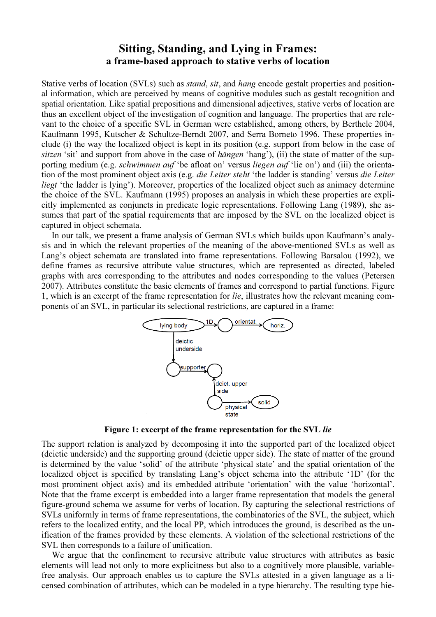## Sitting, Standing, and Lying in Frames: a frame-based approach to stative verbs of location

Stative verbs of location (SVLs) such as *stand*, sit, and hang encode gestalt properties and positional information, which are perceived by means of cognitive modules such as gestalt recognition and spatial orientation. Like spatial prepositions and dimensional adjectives, stative verbs of location are thus an excellent object of the investigation of cognition and language. The properties that are relevant to the choice of a specific SVL in German were established, among others, by Berthele 2004, Kaufmann 1995, Kutscher & Schultze-Berndt 2007, and Serra Borneto 1996. These properties include (i) the way the localized object is kept in its position (e.g. support from below in the case of sitzen 'sit' and support from above in the case of *hängen* 'hang'), (ii) the state of matter of the supporting medium (e.g. *schwimmen auf* 'be afloat on' versus *liegen auf* 'lie on') and (iii) the orientation of the most prominent object axis (e.g. *die Leiter steht* 'the ladder is standing' versus *die Leiter* liegt 'the ladder is lying'). Moreover, properties of the localized object such as animacy determine the choice of the SVL. Kaufmann (1995) proposes an analysis in which these properties are expliliegt 'the ladder is lying'). Moreover, properties of the localized object such as animacy determine<br>the choice of the SVL. Kaufmann (1995) proposes an analysis in which these properties are expli-<br>citly implemented as con sumes that part of the spatial requirements that are imposed by the SVL on the localized object is captured in object schemata.

In our talk, we present a frame analysis of German SVLs which builds upon Kaufmann's analysis and in which the relevant properties of the meaning of the above-mentioned SVLs as well as Lang's object schemata are translated into frame representations. Following Barsalou (1992), we define frames as recursive attribute value structures, which are represented as directed, labeled Lang's object schemata are translated into frame representations. Following Barsalou (1992), we define frames as recursive attribute value structures, which are represented as directed, labeled graphs with arcs correspondi 2007). Attributes constitute the basic elements of frames and correspond to partial functions. Figure 1, which is an excerpt of the frame representation for lie, illustrates how the relevant meaning components of an SVL, in particular its selectional restrictions, are captured in a frame:



Figure 1: excerpt of the frame representation for the SVL lie

The support relation is analyzed by decomposing it into the supported part of the localized object (deictic underside) and the supporting ground (deicti (deictic upper side). The state of matter of the ground (deictic underside) and the supporting ground (deictic upper side). The state of matter of the ground<br>is determined by the value 'solid' of the attribute 'physical state' and the spatial orientation of the localized object is specified by translating Lang's object schema into the attribute '1D' (for the most prominent object axis) and its embedded attribute 'orientation' with the value 'horizontal'. Note that the frame excerpt is embedded into a larger frame representation that models the general figure-ground schema we assume for verbs of location. By capturing the selectional restrictions of SVLs uniformly in terms of frame representations, the combinatorics of the SVL, the subject, which refers to the localized entity, and the local PP, which introduces the ground, is described as the unification of the frames provided by these elements. A violation of the selectional restrictions of the SVL then corresponds to a failure of unification.

We argue that the confinement to recursive attribute value structures with attributes as basic elements will lead not only to more explicitness but also to a cognitively more plausible, variablefree analysis. Our approach enables us to capture the SVLs attested in a given language as a licensed combination of attributes, which can be modeled in a type hierarchy. The resulting type hie-